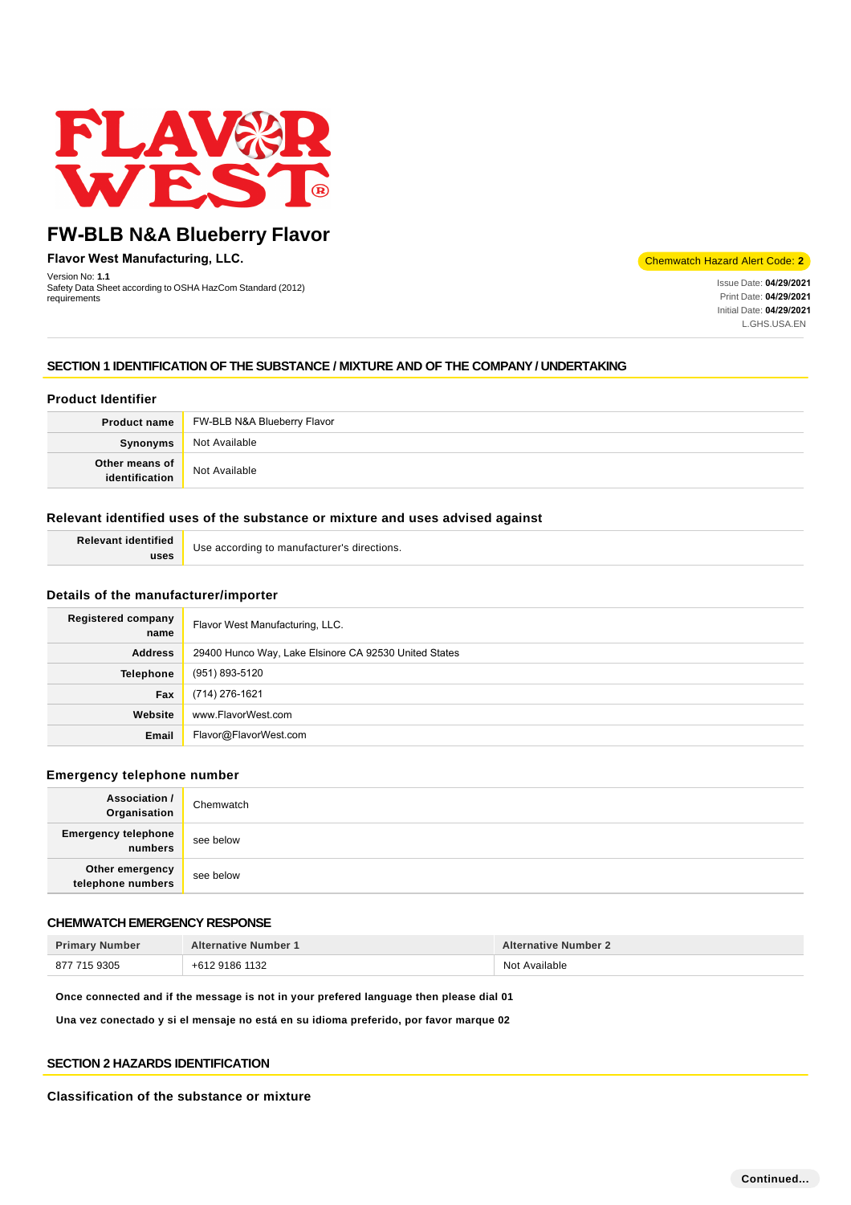

**Flavor West Manufacturing, LLC.**

Version No: **1.1** Safety Data Sheet according to OSHA HazCom Standard (2012) requirements

Chemwatch Hazard Alert Code: **2**

Issue Date: **04/29/2021**  Print Date: **04/29/2021**  Initial Date: **04/29/2021**  L.GHS.USA.EN

# **SECTION 1 IDENTIFICATION OF THE SUBSTANCE / MIXTURE AND OF THE COMPANY / UNDERTAKING**

# **Product Identifier**

|                | <b>Product name</b> FW-BLB N&A Blueberry Flavor |
|----------------|-------------------------------------------------|
| Synonyms       | Not Available                                   |
| Other means of | Not Available                                   |

# **Relevant identified uses of the substance or mixture and uses advised against**

| <b>Relevant identified</b> | Use according to manufacturer's directions. |
|----------------------------|---------------------------------------------|
| uses                       |                                             |

# **Details of the manufacturer/importer**

| <b>Registered company</b><br>name | Flavor West Manufacturing, LLC.                       |
|-----------------------------------|-------------------------------------------------------|
| <b>Address</b>                    | 29400 Hunco Way, Lake Elsinore CA 92530 United States |
| <b>Telephone</b>                  | (951) 893-5120                                        |
| Fax                               | (714) 276-1621                                        |
| Website                           | www.FlavorWest.com                                    |
| Email                             | Flavor@FlavorWest.com                                 |

#### **Emergency telephone number**

| <b>Association /</b><br>Organisation  | Chemwatch |
|---------------------------------------|-----------|
| <b>Emergency telephone</b><br>numbers | see below |
| Other emergency<br>telephone numbers  | see below |

# **CHEMWATCH EMERGENCY RESPONSE**

| <b>Primary Number</b> | <b>Alternative Number 1</b> | <b>Alternative Number 2</b> |
|-----------------------|-----------------------------|-----------------------------|
| 877 715 9305          | +612 9186 1132              | Not Available               |

**Once connected and if the message is not in your prefered language then please dial 01**

**Una vez conectado y si el mensaje no está en su idioma preferido, por favor marque 02**

# **SECTION 2 HAZARDS IDENTIFICATION**

#### **Classification of the substance or mixture**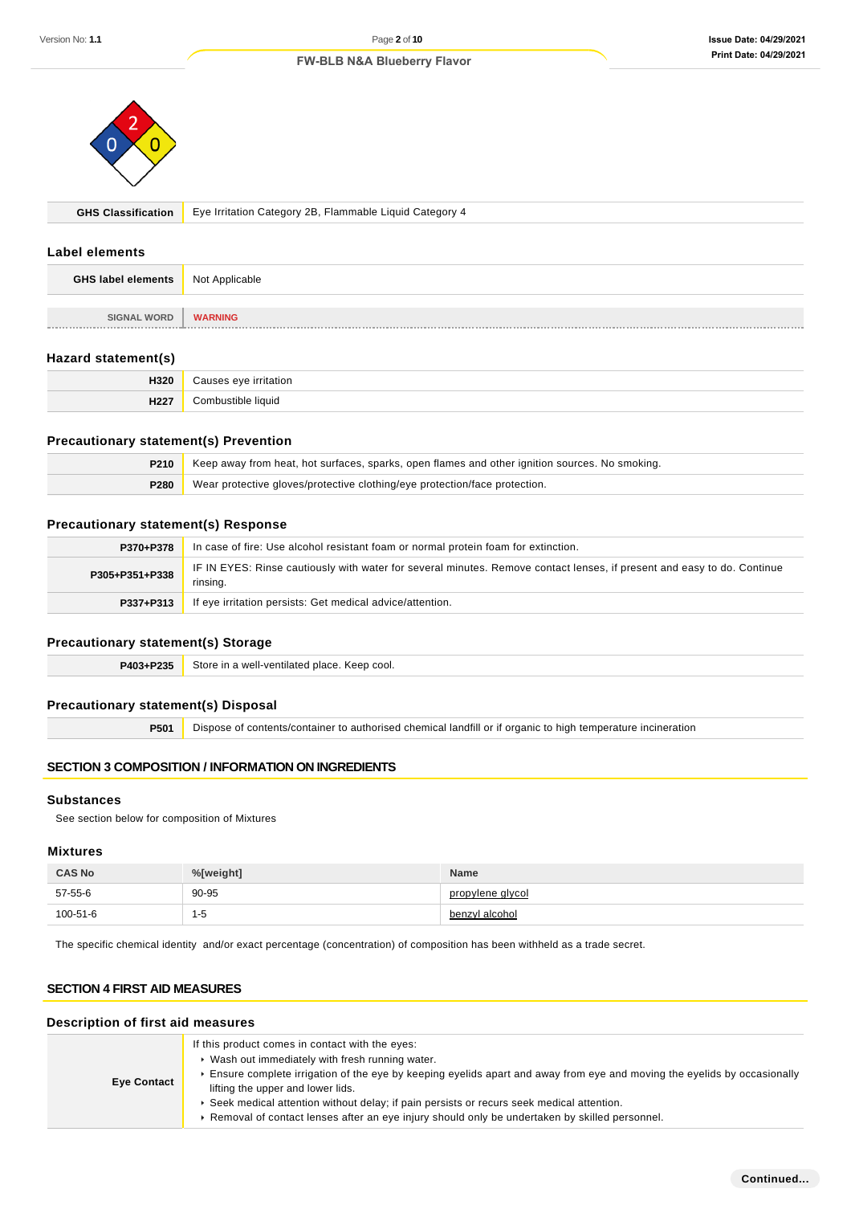

**GHS Classification** Eye Irritation Category 2B, Flammable Liquid Category 4

# **Label elements**

| <b>GHS label elements</b> | Not Applicable |
|---------------------------|----------------|
|                           |                |
| <b>SIGNAL WORD</b>        | <b>WARNING</b> |

# **Hazard statement(s)**

| 1320                | .           |
|---------------------|-------------|
| <b>1100'</b><br>116 | liauid<br>ົ |

#### **Precautionary statement(s) Prevention**

| P210 | Keep away from heat, hot surfaces, sparks, open flames and other ignition sources. No smoking. |  |
|------|------------------------------------------------------------------------------------------------|--|
| P280 | Wear protective gloves/protective clothing/eye protection/face protection.                     |  |

# **Precautionary statement(s) Response**

| P370+P378      | In case of fire: Use alcohol resistant foam or normal protein foam for extinction.                                                  |  |
|----------------|-------------------------------------------------------------------------------------------------------------------------------------|--|
| P305+P351+P338 | IF IN EYES: Rinse cautiously with water for several minutes. Remove contact lenses, if present and easy to do. Continue<br>rinsing. |  |
| P337+P313      | If eye irritation persists: Get medical advice/attention.                                                                           |  |

# **Precautionary statement(s) Storage**

| P403+P235 | Store in a well-ventilated place. Keep cool. |
|-----------|----------------------------------------------|
|-----------|----------------------------------------------|

#### **Precautionary statement(s) Disposal**

**P501** Dispose of contents/container to authorised chemical landfill or if organic to high temperature incineration

# **SECTION 3 COMPOSITION / INFORMATION ON INGREDIENTS**

#### **Substances**

See section below for composition of Mixtures

#### **Mixtures**

| <b>CAS No</b> | %[weight]     | <b>Name</b>      |
|---------------|---------------|------------------|
| 57-55-6       | 90-95         | propylene alvcol |
| 100-51-6      | 1-5<br>$\sim$ | benzyl alcohol   |

The specific chemical identity and/or exact percentage (concentration) of composition has been withheld as a trade secret.

# **SECTION 4 FIRST AID MEASURES**

# **Description of first aid measures**

| <b>Eye Contact</b> | If this product comes in contact with the eyes:<br>▶ Wash out immediately with fresh running water.<br>Ensure complete irrigation of the eye by keeping eyelids apart and away from eye and moving the eyelids by occasionally<br>lifting the upper and lower lids.<br>▶ Seek medical attention without delay; if pain persists or recurs seek medical attention.<br>► Removal of contact lenses after an eye injury should only be undertaken by skilled personnel. |
|--------------------|----------------------------------------------------------------------------------------------------------------------------------------------------------------------------------------------------------------------------------------------------------------------------------------------------------------------------------------------------------------------------------------------------------------------------------------------------------------------|
|--------------------|----------------------------------------------------------------------------------------------------------------------------------------------------------------------------------------------------------------------------------------------------------------------------------------------------------------------------------------------------------------------------------------------------------------------------------------------------------------------|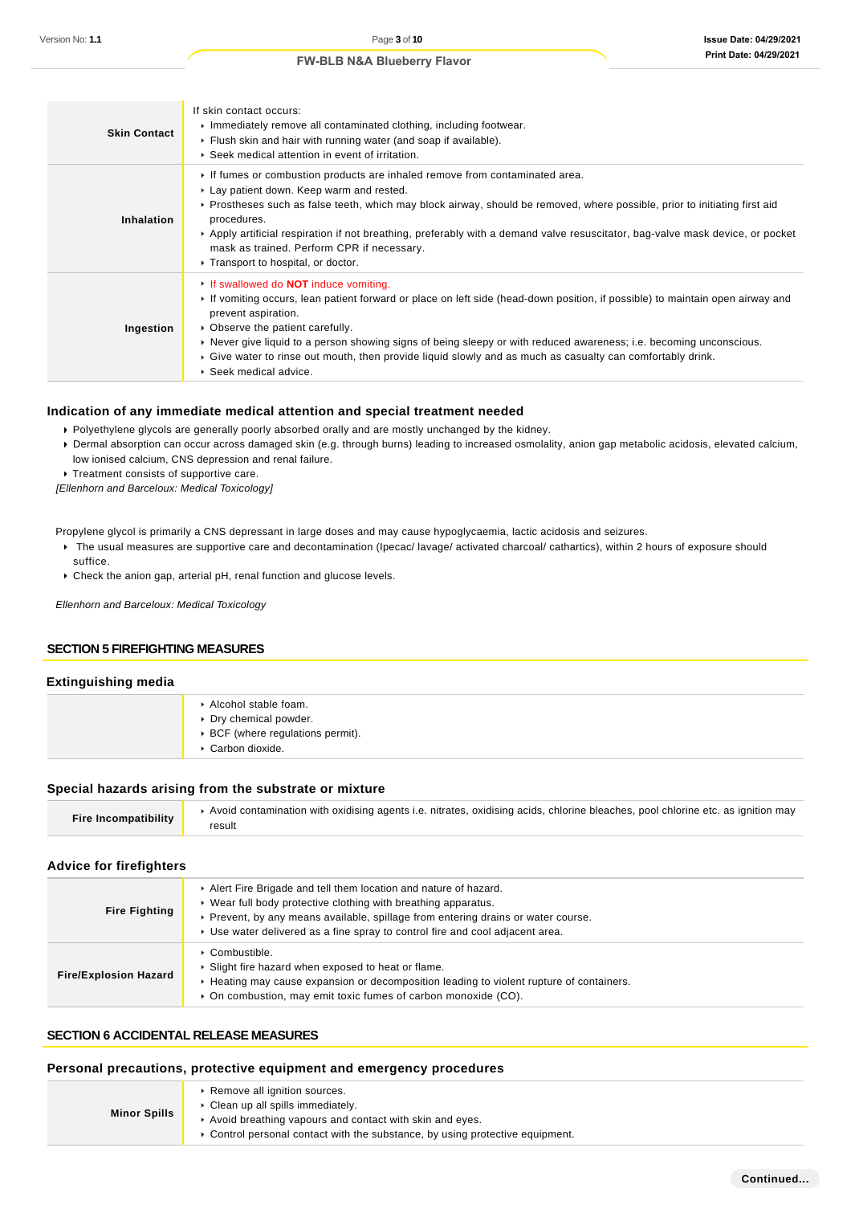| <b>Skin Contact</b> | If skin contact occurs:<br>Immediately remove all contaminated clothing, including footwear.<br>Flush skin and hair with running water (and soap if available).<br>▶ Seek medical attention in event of irritation.                                                                                                                                                                                                                                                                                 |
|---------------------|-----------------------------------------------------------------------------------------------------------------------------------------------------------------------------------------------------------------------------------------------------------------------------------------------------------------------------------------------------------------------------------------------------------------------------------------------------------------------------------------------------|
| Inhalation          | If fumes or combustion products are inhaled remove from contaminated area.<br>► Lay patient down. Keep warm and rested.<br>▶ Prostheses such as false teeth, which may block airway, should be removed, where possible, prior to initiating first aid<br>procedures.<br>Apply artificial respiration if not breathing, preferably with a demand valve resuscitator, bag-valve mask device, or pocket<br>mask as trained. Perform CPR if necessary.<br>▶ Transport to hospital, or doctor.           |
| Ingestion           | If swallowed do <b>NOT</b> induce vomiting.<br>If vomiting occurs, lean patient forward or place on left side (head-down position, if possible) to maintain open airway and<br>prevent aspiration.<br>• Observe the patient carefully.<br>▶ Never give liquid to a person showing signs of being sleepy or with reduced awareness; i.e. becoming unconscious.<br>Give water to rinse out mouth, then provide liquid slowly and as much as casualty can comfortably drink.<br>▶ Seek medical advice. |

# **Indication of any immediate medical attention and special treatment needed**

- Polyethylene glycols are generally poorly absorbed orally and are mostly unchanged by the kidney.
- Dermal absorption can occur across damaged skin (e.g. through burns) leading to increased osmolality, anion gap metabolic acidosis, elevated calcium, low ionised calcium, CNS depression and renal failure.
- **Treatment consists of supportive care.**

[Ellenhorn and Barceloux: Medical Toxicology]

Propylene glycol is primarily a CNS depressant in large doses and may cause hypoglycaemia, lactic acidosis and seizures.

- The usual measures are supportive care and decontamination (Ipecac/ lavage/ activated charcoal/ cathartics), within 2 hours of exposure should suffice.
- Check the anion gap, arterial pH, renal function and glucose levels.

Ellenhorn and Barceloux: Medical Toxicology

# **SECTION 5 FIREFIGHTING MEASURES**

#### **Extinguishing media**

| Alcohol stable foam.<br>▶ Dry chemical powder.<br>▶ BCF (where regulations permit).<br>Carbon dioxide. |
|--------------------------------------------------------------------------------------------------------|
|                                                                                                        |

#### **Special hazards arising from the substrate or mixture**

| Fire Incompatibility | Avoid contamination with oxidising agents i.e. nitrates, oxidising acids, chlorine bleaches, pool chlorine etc. as ignition may |
|----------------------|---------------------------------------------------------------------------------------------------------------------------------|
|                      | result                                                                                                                          |

#### **Advice for firefighters**

| <b>Fire Fighting</b>         | Alert Fire Brigade and tell them location and nature of hazard.<br>▶ Wear full body protective clothing with breathing apparatus.<br>▶ Prevent, by any means available, spillage from entering drains or water course.<br>► Use water delivered as a fine spray to control fire and cool adjacent area. |
|------------------------------|---------------------------------------------------------------------------------------------------------------------------------------------------------------------------------------------------------------------------------------------------------------------------------------------------------|
| <b>Fire/Explosion Hazard</b> | $\triangleright$ Combustible.<br>• Slight fire hazard when exposed to heat or flame.<br>► Heating may cause expansion or decomposition leading to violent rupture of containers.<br>• On combustion, may emit toxic fumes of carbon monoxide (CO).                                                      |

### **SECTION 6 ACCIDENTAL RELEASE MEASURES**

#### **Personal precautions, protective equipment and emergency procedures**

|                     | Remove all ignition sources.                                                  |
|---------------------|-------------------------------------------------------------------------------|
| <b>Minor Spills</b> | Clean up all spills immediately.                                              |
|                     | Avoid breathing vapours and contact with skin and eyes.                       |
|                     | • Control personal contact with the substance, by using protective equipment. |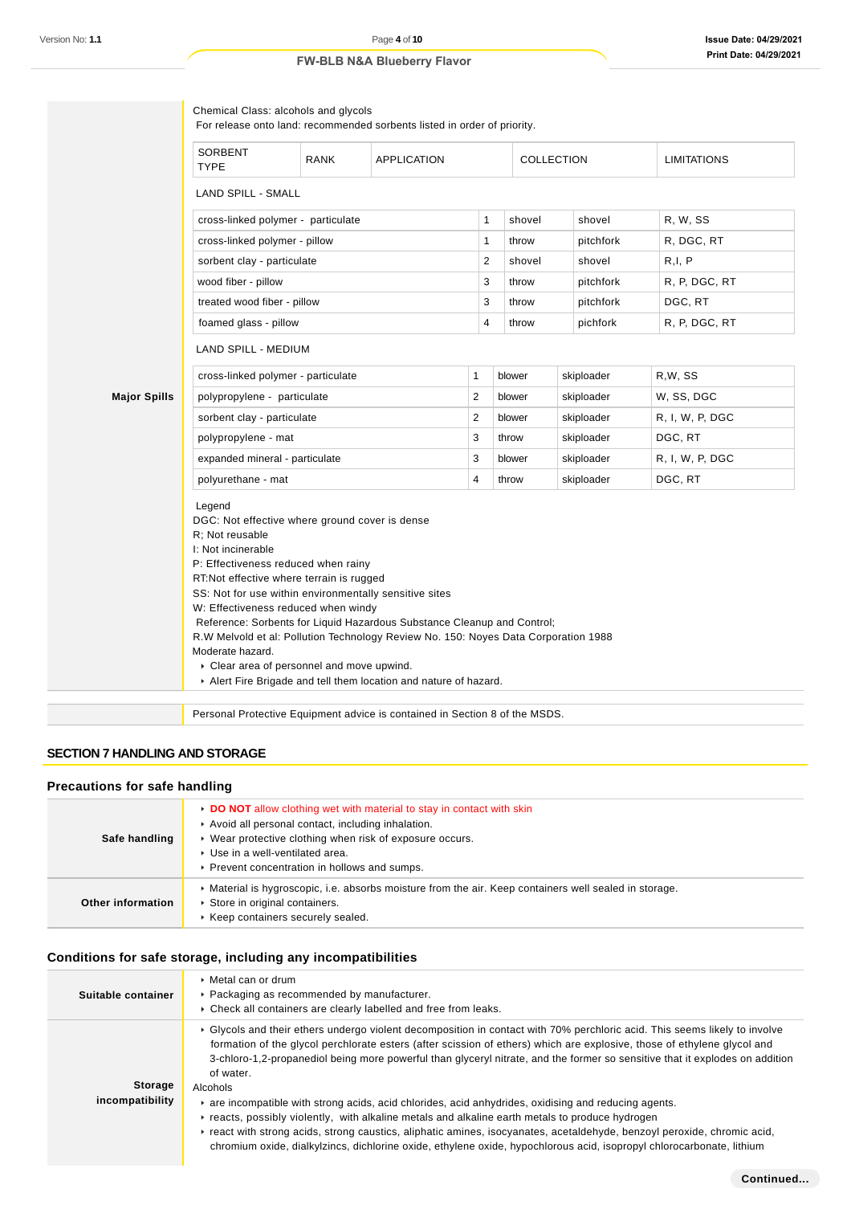| SORBENT<br><b>TYPE</b>                                                                                                                                                                                                                          | <b>RANK</b>                                                                                                 | <b>APPLICATION</b>                                                                                                                                                                                                       |              |  |        | COLLECTION | <b>LIMITATIONS</b> |  |
|-------------------------------------------------------------------------------------------------------------------------------------------------------------------------------------------------------------------------------------------------|-------------------------------------------------------------------------------------------------------------|--------------------------------------------------------------------------------------------------------------------------------------------------------------------------------------------------------------------------|--------------|--|--------|------------|--------------------|--|
| <b>LAND SPILL - SMALL</b>                                                                                                                                                                                                                       |                                                                                                             |                                                                                                                                                                                                                          |              |  |        |            |                    |  |
| cross-linked polymer - particulate                                                                                                                                                                                                              |                                                                                                             |                                                                                                                                                                                                                          | 1            |  | shovel | shovel     | R, W, SS           |  |
| cross-linked polymer - pillow                                                                                                                                                                                                                   |                                                                                                             |                                                                                                                                                                                                                          | 1            |  | throw  | pitchfork  | R, DGC, RT         |  |
| sorbent clay - particulate                                                                                                                                                                                                                      |                                                                                                             |                                                                                                                                                                                                                          | 2            |  | shovel | shovel     | R, I, P            |  |
| wood fiber - pillow                                                                                                                                                                                                                             |                                                                                                             |                                                                                                                                                                                                                          | 3            |  | throw  | pitchfork  | R, P, DGC, RT      |  |
| treated wood fiber - pillow                                                                                                                                                                                                                     |                                                                                                             |                                                                                                                                                                                                                          | 3            |  | throw  | pitchfork  | DGC, RT            |  |
| foamed glass - pillow                                                                                                                                                                                                                           |                                                                                                             |                                                                                                                                                                                                                          | 4            |  | throw  | pichfork   | R, P, DGC, RT      |  |
|                                                                                                                                                                                                                                                 |                                                                                                             |                                                                                                                                                                                                                          |              |  |        |            |                    |  |
| LAND SPILL - MEDIUM                                                                                                                                                                                                                             |                                                                                                             |                                                                                                                                                                                                                          |              |  |        |            |                    |  |
| cross-linked polymer - particulate                                                                                                                                                                                                              |                                                                                                             |                                                                                                                                                                                                                          | $\mathbf{1}$ |  | blower | skiploader | R,W, SS            |  |
| <b>Major Spills</b><br>polypropylene - particulate                                                                                                                                                                                              |                                                                                                             |                                                                                                                                                                                                                          | 2            |  | blower | skiploader | W, SS, DGC         |  |
| sorbent clay - particulate                                                                                                                                                                                                                      |                                                                                                             |                                                                                                                                                                                                                          | 2            |  | blower | skiploader | R, I, W, P, DGC    |  |
| polypropylene - mat                                                                                                                                                                                                                             |                                                                                                             |                                                                                                                                                                                                                          | 3            |  | throw  | skiploader | DGC, RT            |  |
| expanded mineral - particulate                                                                                                                                                                                                                  |                                                                                                             |                                                                                                                                                                                                                          | 3            |  | blower | skiploader | R, I, W, P, DGC    |  |
| polyurethane - mat                                                                                                                                                                                                                              |                                                                                                             |                                                                                                                                                                                                                          | 4            |  | throw  | skiploader | DGC, RT            |  |
| Legend<br>DGC: Not effective where ground cover is dense<br>R: Not reusable<br>I: Not incinerable<br>P: Effectiveness reduced when rainy<br>RT:Not effective where terrain is rugged<br>W: Effectiveness reduced when windy<br>Moderate hazard. |                                                                                                             | SS: Not for use within environmentally sensitive sites<br>Reference: Sorbents for Liquid Hazardous Substance Cleanup and Control;<br>R.W Melvold et al: Pollution Technology Review No. 150: Noyes Data Corporation 1988 |              |  |        |            |                    |  |
|                                                                                                                                                                                                                                                 | Clear area of personnel and move upwind.<br>Alert Fire Brigade and tell them location and nature of hazard. |                                                                                                                                                                                                                          |              |  |        |            |                    |  |

# **SECTION 7 HANDLING AND STORAGE**

#### **Precautions for safe handling**

| Safe handling     | ► DO NOT allow clothing wet with material to stay in contact with skin<br>Avoid all personal contact, including inhalation.<br>▶ Wear protective clothing when risk of exposure occurs.<br>▶ Use in a well-ventilated area.<br>▶ Prevent concentration in hollows and sumps. |
|-------------------|------------------------------------------------------------------------------------------------------------------------------------------------------------------------------------------------------------------------------------------------------------------------------|
| Other information | • Material is hygroscopic, i.e. absorbs moisture from the air. Keep containers well sealed in storage.<br>Store in original containers.<br>▶ Keep containers securely sealed.                                                                                                |

# **Conditions for safe storage, including any incompatibilities**

| Suitable container                | ▶ Metal can or drum<br>• Packaging as recommended by manufacturer.<br>Check all containers are clearly labelled and free from leaks.                                                                                                                                                                                                                                                                                                                                                                                                                                                                                                                                                                                                                                                                                                                                        |
|-----------------------------------|-----------------------------------------------------------------------------------------------------------------------------------------------------------------------------------------------------------------------------------------------------------------------------------------------------------------------------------------------------------------------------------------------------------------------------------------------------------------------------------------------------------------------------------------------------------------------------------------------------------------------------------------------------------------------------------------------------------------------------------------------------------------------------------------------------------------------------------------------------------------------------|
| <b>Storage</b><br>incompatibility | ► Glycols and their ethers undergo violent decomposition in contact with 70% perchloric acid. This seems likely to involve<br>formation of the glycol perchlorate esters (after scission of ethers) which are explosive, those of ethylene glycol and<br>3-chloro-1,2-propanediol being more powerful than glyceryl nitrate, and the former so sensitive that it explodes on addition<br>of water.<br>Alcohols<br>are incompatible with strong acids, acid chlorides, acid anhydrides, oxidising and reducing agents.<br>reacts, possibly violently, with alkaline metals and alkaline earth metals to produce hydrogen<br>Freact with strong acids, strong caustics, aliphatic amines, isocyanates, acetaldehyde, benzoyl peroxide, chromic acid,<br>chromium oxide, dialkylzincs, dichlorine oxide, ethylene oxide, hypochlorous acid, isopropyl chlorocarbonate, lithium |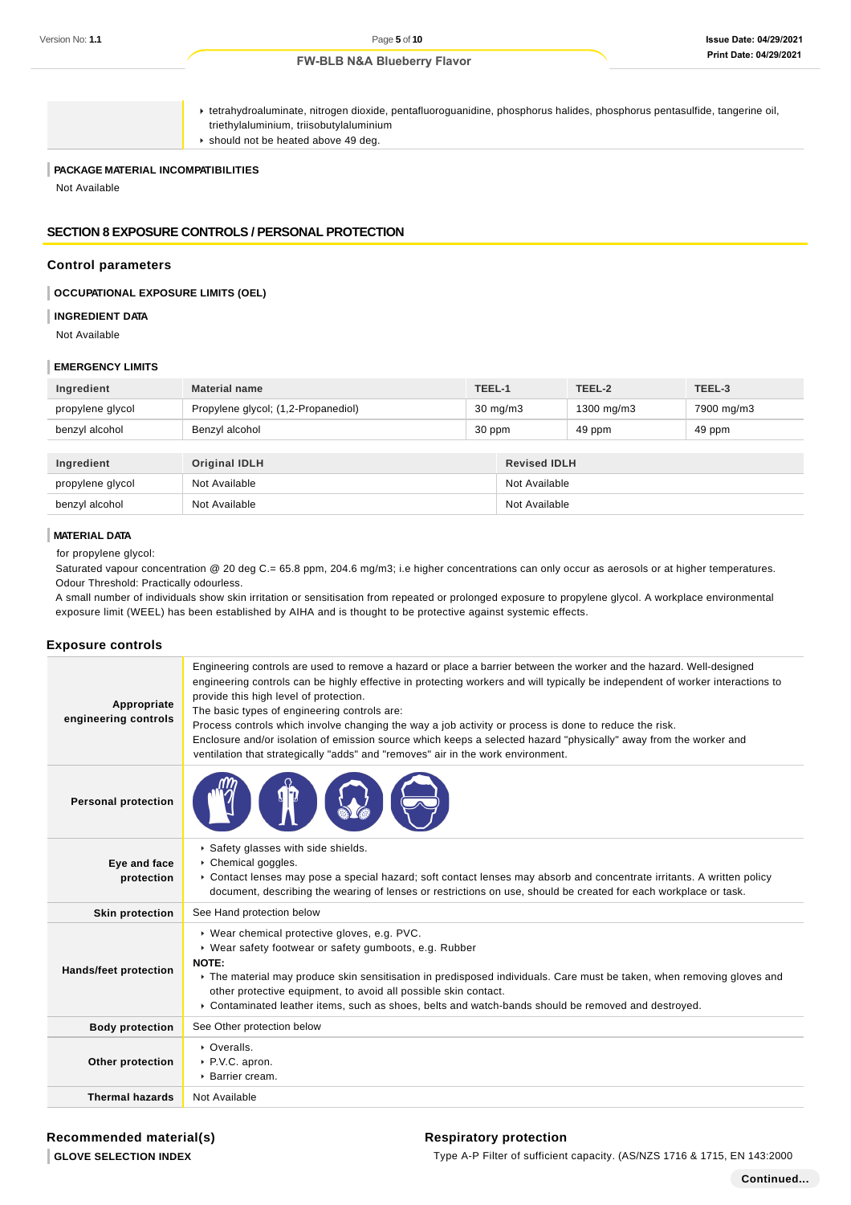#### **Issue Date: 04/29/2021 Print Date: 04/29/2021**

**FW-BLB N&A Blueberry Flavor**

tetrahydroaluminate, nitrogen dioxide, pentafluoroguanidine, phosphorus halides, phosphorus pentasulfide, tangerine oil, triethylaluminium, triisobutylaluminium

should not be heated above 49 deg.

# **PACKAGE MATERIAL INCOMPATIBILITIES**

Not Available

#### **SECTION 8 EXPOSURE CONTROLS / PERSONAL PROTECTION**

#### **Control parameters**

#### **OCCUPATIONAL EXPOSURE LIMITS (OEL)**

#### **INGREDIENT DATA**

Not Available

# **EMERGENCY LIMITS**

| Ingredient       | <b>Material name</b>                |                   | TEEL-1              | TEEL-2     | TEEL-3     |  |
|------------------|-------------------------------------|-------------------|---------------------|------------|------------|--|
| propylene glycol | Propylene glycol; (1,2-Propanediol) | $30 \text{ mg/m}$ |                     | 1300 mg/m3 | 7900 mg/m3 |  |
| benzyl alcohol   | Benzyl alcohol                      | 30 ppm            |                     | 49 ppm     | 49 ppm     |  |
|                  |                                     |                   |                     |            |            |  |
| Ingredient       | <b>Original IDLH</b>                |                   | <b>Revised IDLH</b> |            |            |  |
| propylene glycol | Not Available                       |                   | Not Available       |            |            |  |
| benzyl alcohol   | Not Available                       |                   | Not Available       |            |            |  |

#### **MATERIAL DATA**

for propylene glycol:

Saturated vapour concentration @ 20 deg C.= 65.8 ppm, 204.6 mg/m3; i.e higher concentrations can only occur as aerosols or at higher temperatures. Odour Threshold: Practically odourless.

A small number of individuals show skin irritation or sensitisation from repeated or prolonged exposure to propylene glycol. A workplace environmental exposure limit (WEEL) has been established by AIHA and is thought to be protective against systemic effects.

#### **Exposure controls**

| Appropriate<br>engineering controls | Engineering controls are used to remove a hazard or place a barrier between the worker and the hazard. Well-designed<br>engineering controls can be highly effective in protecting workers and will typically be independent of worker interactions to<br>provide this high level of protection.<br>The basic types of engineering controls are:<br>Process controls which involve changing the way a job activity or process is done to reduce the risk.<br>Enclosure and/or isolation of emission source which keeps a selected hazard "physically" away from the worker and<br>ventilation that strategically "adds" and "removes" air in the work environment. |
|-------------------------------------|--------------------------------------------------------------------------------------------------------------------------------------------------------------------------------------------------------------------------------------------------------------------------------------------------------------------------------------------------------------------------------------------------------------------------------------------------------------------------------------------------------------------------------------------------------------------------------------------------------------------------------------------------------------------|
| <b>Personal protection</b>          |                                                                                                                                                                                                                                                                                                                                                                                                                                                                                                                                                                                                                                                                    |
| Eye and face<br>protection          | Safety glasses with side shields.<br>Chemical goggles.<br>• Contact lenses may pose a special hazard; soft contact lenses may absorb and concentrate irritants. A written policy<br>document, describing the wearing of lenses or restrictions on use, should be created for each workplace or task.                                                                                                                                                                                                                                                                                                                                                               |
| <b>Skin protection</b>              | See Hand protection below                                                                                                                                                                                                                                                                                                                                                                                                                                                                                                                                                                                                                                          |
| <b>Hands/feet protection</b>        | ▶ Wear chemical protective gloves, e.g. PVC.<br>▶ Wear safety footwear or safety gumboots, e.g. Rubber<br>NOTE:<br>• The material may produce skin sensitisation in predisposed individuals. Care must be taken, when removing gloves and<br>other protective equipment, to avoid all possible skin contact.<br>▶ Contaminated leather items, such as shoes, belts and watch-bands should be removed and destroyed.                                                                                                                                                                                                                                                |
| <b>Body protection</b>              | See Other protection below                                                                                                                                                                                                                                                                                                                                                                                                                                                                                                                                                                                                                                         |
| Other protection                    | • Overalls.<br>P.V.C. apron.<br>▶ Barrier cream.                                                                                                                                                                                                                                                                                                                                                                                                                                                                                                                                                                                                                   |
| <b>Thermal hazards</b>              | Not Available                                                                                                                                                                                                                                                                                                                                                                                                                                                                                                                                                                                                                                                      |

#### **Respiratory protection**

Type A-P Filter of sufficient capacity. (AS/NZS 1716 & 1715, EN 143:2000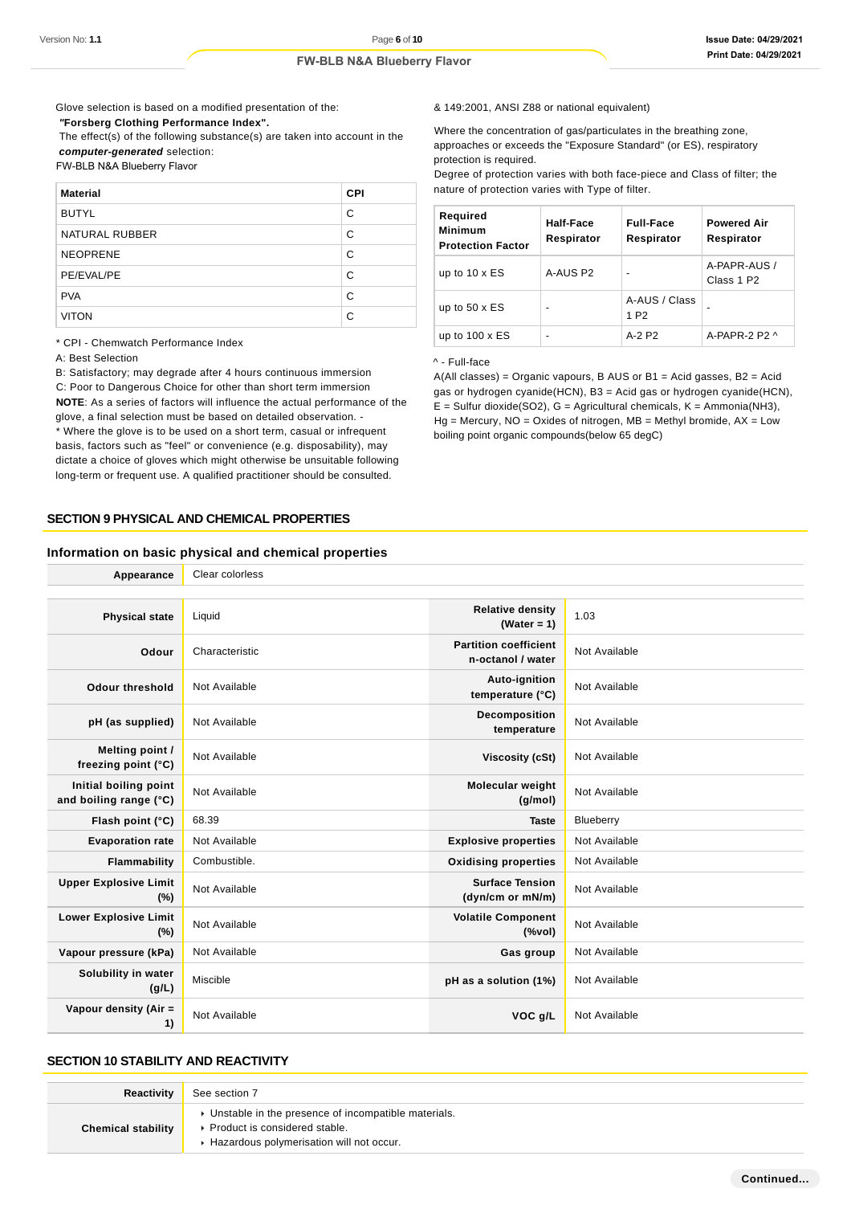Glove selection is based on a modified presentation of the:

 **"Forsberg Clothing Performance Index".**

 The effect(s) of the following substance(s) are taken into account in the **computer-generated** selection:

FW-BLB N&A Blueberry Flavor

| <b>Material</b> | <b>CPI</b> |
|-----------------|------------|
| <b>BUTYL</b>    | C          |
| NATURAL RUBBER  | C          |
| <b>NEOPRENE</b> | С          |
| PE/EVAL/PE      | C          |
| <b>PVA</b>      | C          |
| <b>VITON</b>    | C          |

\* CPI - Chemwatch Performance Index

A: Best Selection

B: Satisfactory; may degrade after 4 hours continuous immersion

C: Poor to Dangerous Choice for other than short term immersion **NOTE**: As a series of factors will influence the actual performance of the glove, a final selection must be based on detailed observation. - \* Where the glove is to be used on a short term, casual or infrequent basis, factors such as "feel" or convenience (e.g. disposability), may dictate a choice of gloves which might otherwise be unsuitable following

long-term or frequent use. A qualified practitioner should be consulted.

**SECTION 9 PHYSICAL AND CHEMICAL PROPERTIES**

**Appearance** Clear colorless

#### **Information on basic physical and chemical properties**

& 149:2001, ANSI Z88 or national equivalent)

Where the concentration of gas/particulates in the breathing zone, approaches or exceeds the "Exposure Standard" (or ES), respiratory protection is required.

Degree of protection varies with both face-piece and Class of filter; the nature of protection varies with Type of filter.

| Required<br><b>Minimum</b><br><b>Protection Factor</b> | Half-Face<br>Respirator | <b>Full-Face</b><br>Respirator    | <b>Powered Air</b><br>Respirator       |
|--------------------------------------------------------|-------------------------|-----------------------------------|----------------------------------------|
| up to $10 \times ES$                                   | A-AUS P2                | -                                 | A-PAPR-AUS /<br>Class 1 P <sub>2</sub> |
| up to $50 \times ES$                                   | -                       | A-AUS / Class<br>1 P <sub>2</sub> |                                        |
| up to $100 \times ES$                                  |                         | $A-2$ P <sub>2</sub>              | A-PAPR-2 P2 $\land$                    |

^ - Full-face

A(All classes) = Organic vapours, B AUS or B1 = Acid gasses, B2 = Acid gas or hydrogen cyanide(HCN), B3 = Acid gas or hydrogen cyanide(HCN),  $E =$  Sulfur dioxide(SO2), G = Agricultural chemicals, K = Ammonia(NH3),  $Hg =$  Mercury,  $NO =$  Oxides of nitrogen,  $MB =$  Methyl bromide,  $AX =$  Low boiling point organic compounds(below 65 degC)

| <b>Physical state</b>                           | Liquid         | <b>Relative density</b><br>(Water = $1$ )         | 1.03          |
|-------------------------------------------------|----------------|---------------------------------------------------|---------------|
| Odour                                           | Characteristic | <b>Partition coefficient</b><br>n-octanol / water | Not Available |
| Odour threshold                                 | Not Available  | Auto-ignition<br>temperature (°C)                 | Not Available |
| pH (as supplied)                                | Not Available  | <b>Decomposition</b><br>temperature               | Not Available |
| Melting point /<br>freezing point (°C)          | Not Available  | Viscosity (cSt)                                   | Not Available |
| Initial boiling point<br>and boiling range (°C) | Not Available  | <b>Molecular weight</b><br>(g/mol)                | Not Available |
| Flash point (°C)                                | 68.39          | <b>Taste</b>                                      | Blueberry     |
| <b>Evaporation rate</b>                         | Not Available  | <b>Explosive properties</b>                       | Not Available |
| Flammability                                    | Combustible.   | <b>Oxidising properties</b>                       | Not Available |
| <b>Upper Explosive Limit</b><br>(%)             | Not Available  | <b>Surface Tension</b><br>(dyn/cm or mN/m)        | Not Available |
| <b>Lower Explosive Limit</b><br>(%)             | Not Available  | <b>Volatile Component</b><br>(%vol)               | Not Available |
| Vapour pressure (kPa)                           | Not Available  | Gas group                                         | Not Available |
| Solubility in water<br>(g/L)                    | Miscible       | pH as a solution (1%)                             | Not Available |
| Vapour density (Air =<br>1)                     | Not Available  | VOC q/L                                           | Not Available |

# **SECTION 10 STABILITY AND REACTIVITY**

| Reactivity                | See section 7                                                                                                                        |
|---------------------------|--------------------------------------------------------------------------------------------------------------------------------------|
| <b>Chemical stability</b> | • Unstable in the presence of incompatible materials.<br>▶ Product is considered stable.<br>Hazardous polymerisation will not occur. |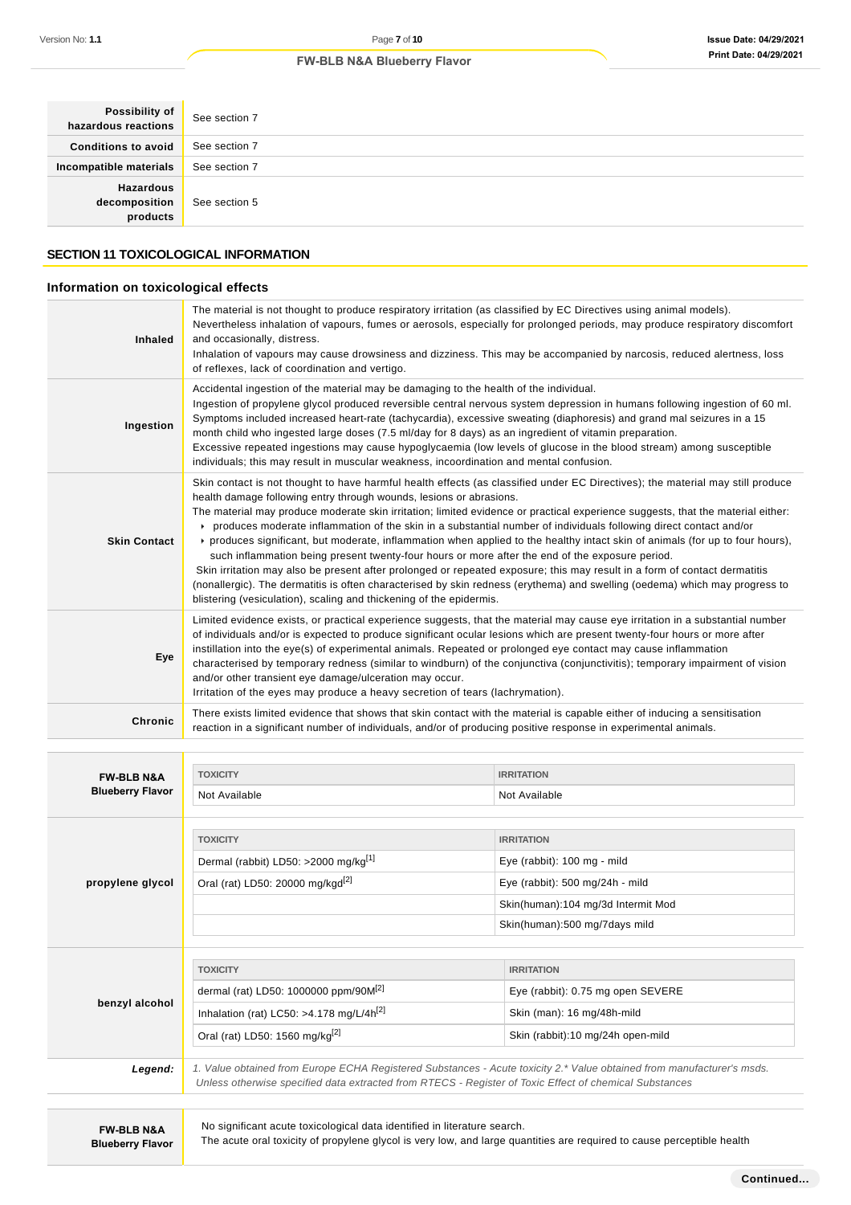| Possibility of<br>hazardous reactions         | See section 7 |
|-----------------------------------------------|---------------|
| <b>Conditions to avoid</b>                    | See section 7 |
| Incompatible materials                        | See section 7 |
| <b>Hazardous</b><br>decomposition<br>products | See section 5 |

# **SECTION 11 TOXICOLOGICAL INFORMATION**

# **Information on toxicological effects**

| <b>Inhaled</b>      | The material is not thought to produce respiratory irritation (as classified by EC Directives using animal models).<br>Nevertheless inhalation of vapours, fumes or aerosols, especially for prolonged periods, may produce respiratory discomfort<br>and occasionally, distress.<br>Inhalation of vapours may cause drowsiness and dizziness. This may be accompanied by narcosis, reduced alertness, loss<br>of reflexes, lack of coordination and vertigo.                                                                                                                                                                                                                                                                                                                                                                                                                                                                                                                                                                        |
|---------------------|--------------------------------------------------------------------------------------------------------------------------------------------------------------------------------------------------------------------------------------------------------------------------------------------------------------------------------------------------------------------------------------------------------------------------------------------------------------------------------------------------------------------------------------------------------------------------------------------------------------------------------------------------------------------------------------------------------------------------------------------------------------------------------------------------------------------------------------------------------------------------------------------------------------------------------------------------------------------------------------------------------------------------------------|
| Ingestion           | Accidental ingestion of the material may be damaging to the health of the individual.<br>Ingestion of propylene glycol produced reversible central nervous system depression in humans following ingestion of 60 ml.<br>Symptoms included increased heart-rate (tachycardia), excessive sweating (diaphoresis) and grand mal seizures in a 15<br>month child who ingested large doses (7.5 ml/day for 8 days) as an ingredient of vitamin preparation.<br>Excessive repeated ingestions may cause hypoglycaemia (low levels of glucose in the blood stream) among susceptible<br>individuals; this may result in muscular weakness, incoordination and mental confusion.                                                                                                                                                                                                                                                                                                                                                             |
| <b>Skin Contact</b> | Skin contact is not thought to have harmful health effects (as classified under EC Directives); the material may still produce<br>health damage following entry through wounds, lesions or abrasions.<br>The material may produce moderate skin irritation; limited evidence or practical experience suggests, that the material either:<br>produces moderate inflammation of the skin in a substantial number of individuals following direct contact and/or<br>► produces significant, but moderate, inflammation when applied to the healthy intact skin of animals (for up to four hours),<br>such inflammation being present twenty-four hours or more after the end of the exposure period.<br>Skin irritation may also be present after prolonged or repeated exposure; this may result in a form of contact dermatitis<br>(nonallergic). The dermatitis is often characterised by skin redness (erythema) and swelling (oedema) which may progress to<br>blistering (vesiculation), scaling and thickening of the epidermis. |
| Eye                 | Limited evidence exists, or practical experience suggests, that the material may cause eye irritation in a substantial number<br>of individuals and/or is expected to produce significant ocular lesions which are present twenty-four hours or more after<br>instillation into the eye(s) of experimental animals. Repeated or prolonged eye contact may cause inflammation<br>characterised by temporary redness (similar to windburn) of the conjunctiva (conjunctivitis); temporary impairment of vision<br>and/or other transient eye damage/ulceration may occur.<br>Irritation of the eyes may produce a heavy secretion of tears (lachrymation).                                                                                                                                                                                                                                                                                                                                                                             |
| <b>Chronic</b>      | There exists limited evidence that shows that skin contact with the material is capable either of inducing a sensitisation<br>reaction in a significant number of individuals, and/or of producing positive response in experimental animals.                                                                                                                                                                                                                                                                                                                                                                                                                                                                                                                                                                                                                                                                                                                                                                                        |

| <b>FW-BLB N&amp;A</b>   | <b>TOXICITY</b>                                                                                                                                                                                                                  | <b>IRRITATION</b>                         |  |
|-------------------------|----------------------------------------------------------------------------------------------------------------------------------------------------------------------------------------------------------------------------------|-------------------------------------------|--|
| <b>Blueberry Flavor</b> | Not Available                                                                                                                                                                                                                    | Not Available                             |  |
|                         |                                                                                                                                                                                                                                  |                                           |  |
|                         | <b>TOXICITY</b>                                                                                                                                                                                                                  | <b>IRRITATION</b>                         |  |
|                         | Dermal (rabbit) LD50: >2000 mg/kg <sup>[1]</sup>                                                                                                                                                                                 | Eye (rabbit): 100 mg - mild               |  |
| propylene glycol        | Oral (rat) LD50: 20000 mg/kgd <sup>[2]</sup>                                                                                                                                                                                     | Eye (rabbit): $500 \text{ mg}/24h$ - mild |  |
|                         |                                                                                                                                                                                                                                  | Skin(human):104 mg/3d Intermit Mod        |  |
|                         |                                                                                                                                                                                                                                  | Skin(human):500 mg/7days mild             |  |
|                         |                                                                                                                                                                                                                                  |                                           |  |
|                         | <b>TOXICITY</b>                                                                                                                                                                                                                  | <b>IRRITATION</b>                         |  |
|                         | dermal (rat) LD50: 1000000 ppm/90M <sup>[2]</sup>                                                                                                                                                                                | Eye (rabbit): 0.75 mg open SEVERE         |  |
| benzyl alcohol          | Inhalation (rat) LC50: >4.178 mg/L/4 $h^{[2]}$                                                                                                                                                                                   | Skin (man): 16 mg/48h-mild                |  |
|                         | Oral (rat) LD50: 1560 mg/kg <sup>[2]</sup><br>Skin (rabbit):10 mg/24h open-mild                                                                                                                                                  |                                           |  |
|                         |                                                                                                                                                                                                                                  |                                           |  |
| Legend:                 | 1. Value obtained from Europe ECHA Registered Substances - Acute toxicity 2.* Value obtained from manufacturer's msds.<br>Unless otherwise specified data extracted from RTECS - Register of Toxic Effect of chemical Substances |                                           |  |
|                         |                                                                                                                                                                                                                                  |                                           |  |

No significant acute toxicological data identified in literature search.

The acute oral toxicity of propylene glycol is very low, and large quantities are required to cause perceptible health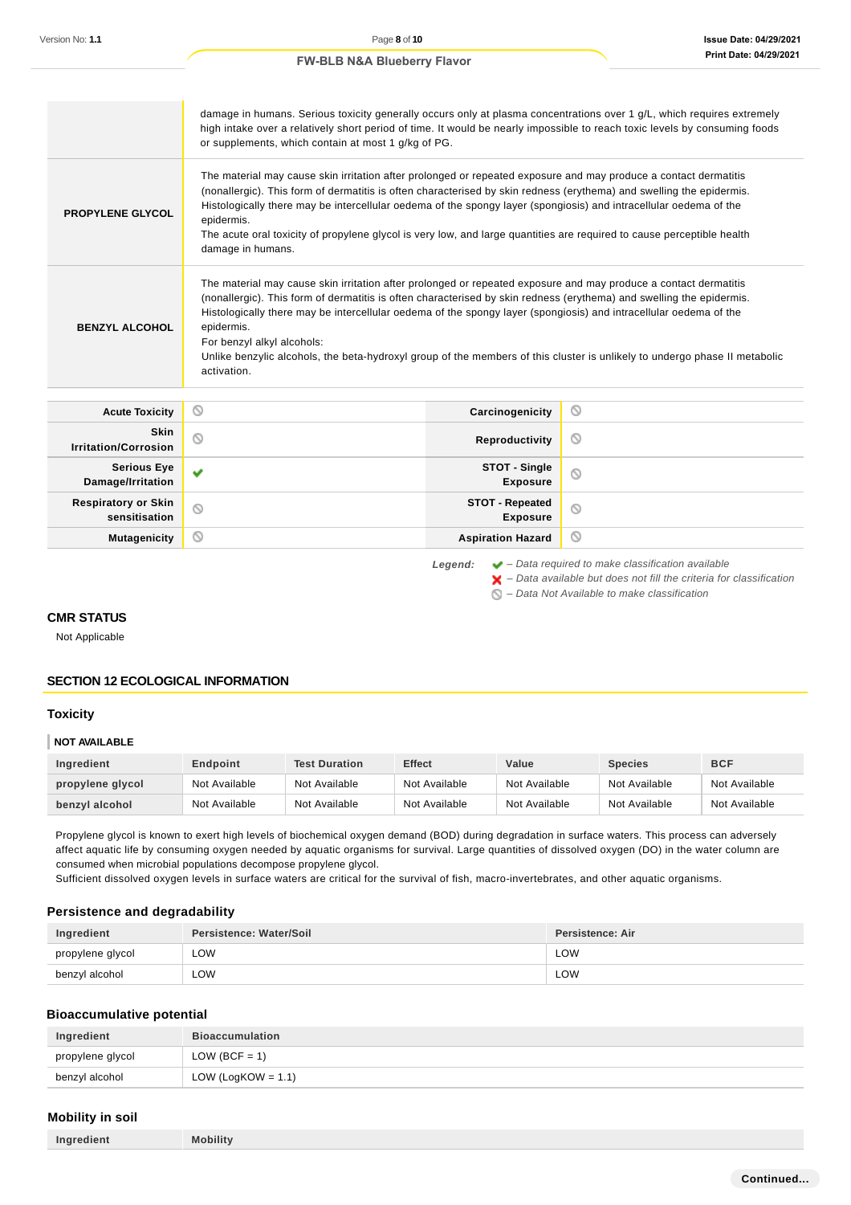|                         | damage in humans. Serious toxicity generally occurs only at plasma concentrations over 1 g/L, which requires extremely<br>high intake over a relatively short period of time. It would be nearly impossible to reach toxic levels by consuming foods<br>or supplements, which contain at most 1 g/kg of PG.                                                                                                                                                                                                                                            |
|-------------------------|--------------------------------------------------------------------------------------------------------------------------------------------------------------------------------------------------------------------------------------------------------------------------------------------------------------------------------------------------------------------------------------------------------------------------------------------------------------------------------------------------------------------------------------------------------|
| <b>PROPYLENE GLYCOL</b> | The material may cause skin irritation after prolonged or repeated exposure and may produce a contact dermatitis<br>(nonallergic). This form of dermatitis is often characterised by skin redness (erythema) and swelling the epidermis.<br>Histologically there may be intercellular oedema of the spongy layer (spongiosis) and intracellular oedema of the<br>epidermis.<br>The acute oral toxicity of propylene glycol is very low, and large quantities are required to cause perceptible health<br>damage in humans.                             |
| <b>BENZYL ALCOHOL</b>   | The material may cause skin irritation after prolonged or repeated exposure and may produce a contact dermatitis<br>(nonallergic). This form of dermatitis is often characterised by skin redness (erythema) and swelling the epidermis.<br>Histologically there may be intercellular oedema of the spongy layer (spongiosis) and intracellular oedema of the<br>epidermis.<br>For benzyl alkyl alcohols:<br>Unlike benzylic alcohols, the beta-hydroxyl group of the members of this cluster is unlikely to undergo phase II metabolic<br>activation. |

| <b>Acute Toxicity</b>                       | Ø              | Carcinogenicity                           | Ø |
|---------------------------------------------|----------------|-------------------------------------------|---|
| Skin<br><b>Irritation/Corrosion</b>         | $\circ$        | Reproductivity                            | Ø |
| <b>Serious Eye</b><br>Damage/Irritation     | $\checkmark$   | STOT - Single<br><b>Exposure</b>          | Ø |
| <b>Respiratory or Skin</b><br>sensitisation | $\circledcirc$ | <b>STOT - Repeated</b><br><b>Exposure</b> | Ø |
| <b>Mutagenicity</b>                         | $\odot$        | <b>Aspiration Hazard</b>                  | O |

**Legend:** – Data required to make classification available  $\blacktriangleright$  – Data available but does not fill the criteria for classification

 $\bigcirc$  – Data Not Available to make classification

# **CMR STATUS**

Not Applicable

# **SECTION 12 ECOLOGICAL INFORMATION**

#### **Toxicity**

#### **NOT AVAILABLE**

| Ingredient       | Endpoint      | <b>Test Duration</b> | <b>Effect</b> | Value         | <b>Species</b> | <b>BCF</b>    |
|------------------|---------------|----------------------|---------------|---------------|----------------|---------------|
| propylene glycol | Not Available | Not Available        | Not Available | Not Available | Not Available  | Not Available |
| benzyl alcohol   | Not Available | Not Available        | Not Available | Not Available | Not Available  | Not Available |

Propylene glycol is known to exert high levels of biochemical oxygen demand (BOD) during degradation in surface waters. This process can adversely affect aquatic life by consuming oxygen needed by aquatic organisms for survival. Large quantities of dissolved oxygen (DO) in the water column are consumed when microbial populations decompose propylene glycol.

Sufficient dissolved oxygen levels in surface waters are critical for the survival of fish, macro-invertebrates, and other aquatic organisms.

### **Persistence and degradability**

| Ingredient       | <b>Persistence: Water/Soil</b> | Persistence: Air |
|------------------|--------------------------------|------------------|
| propylene glycol | LOW                            | LOW              |
| benzyl alcohol   | ∟OW                            | LOW              |

#### **Bioaccumulative potential**

| Ingredient       | <b>Bioaccumulation</b> |
|------------------|------------------------|
| propylene glycol | $LOW (BCF = 1)$        |
| benzyl alcohol   | LOW (LogKOW = $1.1$ )  |

# **Mobility in soil**

| <b>Mobility</b><br>Ingredient |  |
|-------------------------------|--|
|-------------------------------|--|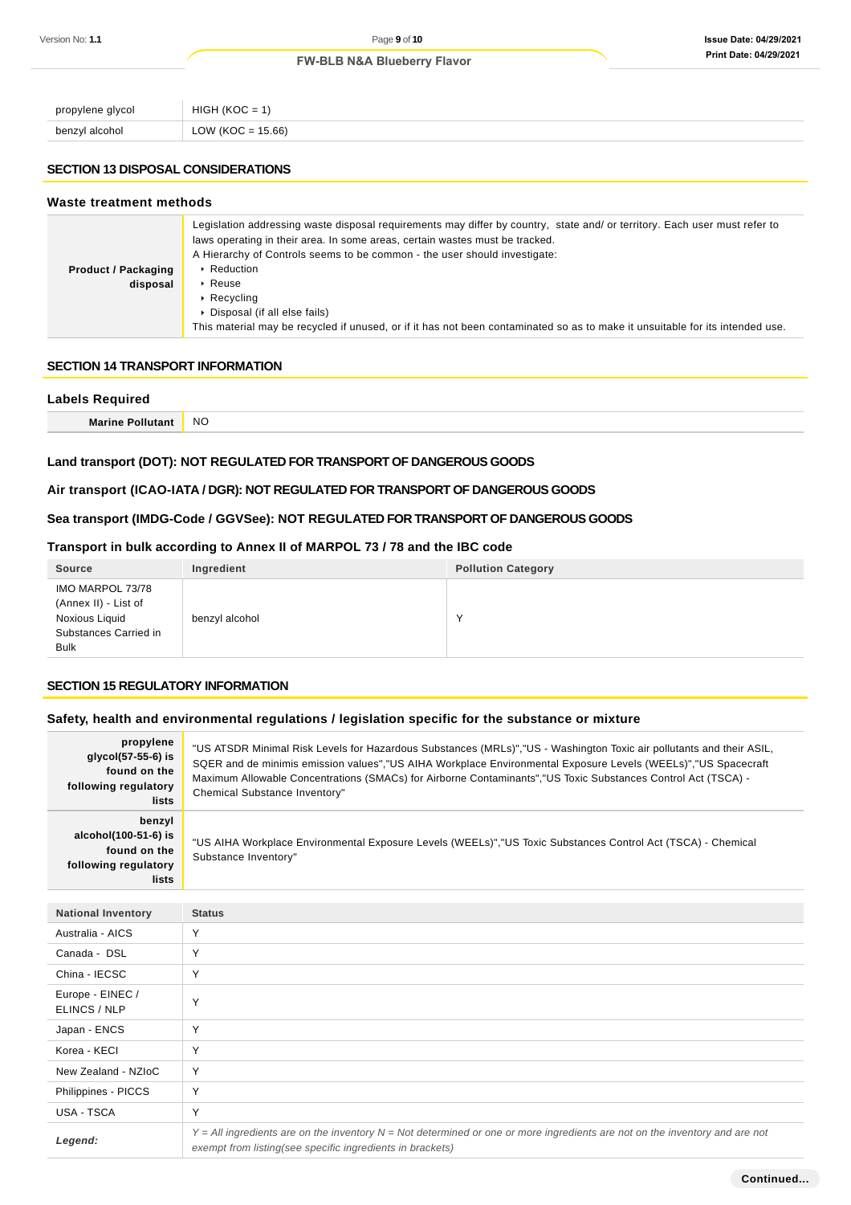| propylene glycol            | HIGF<br>''<br>$\overline{\phantom{0}}$<br>___<br>$\sim$     |
|-----------------------------|-------------------------------------------------------------|
| benzyl alcohol<br>ັບບາ<br>. | 15.66)<br>ווור<br>$\overline{ }$<br>$\sim$ $-$<br>____<br>. |

# **SECTION 13 DISPOSAL CONSIDERATIONS**

#### **Waste treatment methods**

|                            | Legislation addressing waste disposal requirements may differ by country, state and/ or territory. Each user must refer to<br>laws operating in their area. In some areas, certain wastes must be tracked.<br>A Hierarchy of Controls seems to be common - the user should investigate: |
|----------------------------|-----------------------------------------------------------------------------------------------------------------------------------------------------------------------------------------------------------------------------------------------------------------------------------------|
| <b>Product / Packaging</b> | ▶ Reduction                                                                                                                                                                                                                                                                             |
| disposal                   | $\triangleright$ Reuse                                                                                                                                                                                                                                                                  |
|                            | $\triangleright$ Recycling                                                                                                                                                                                                                                                              |
|                            | • Disposal (if all else fails)                                                                                                                                                                                                                                                          |
|                            | This material may be recycled if unused, or if it has not been contaminated so as to make it unsuitable for its intended use.                                                                                                                                                           |

#### **SECTION 14 TRANSPORT INFORMATION**

| <b>Labels Required</b> |           |  |
|------------------------|-----------|--|
| Marine Pollutant       | <b>NO</b> |  |
|                        |           |  |

# **Land transport (DOT): NOT REGULATED FOR TRANSPORT OF DANGEROUS GOODS**

# **Air transport (ICAO-IATA / DGR): NOT REGULATED FOR TRANSPORT OF DANGEROUS GOODS**

# **Sea transport (IMDG-Code / GGVSee): NOT REGULATED FOR TRANSPORT OF DANGEROUS GOODS**

# **Transport in bulk according to Annex II of MARPOL 73 / 78 and the IBC code**

| <b>Source</b>                                                                                      | Ingredient     | <b>Pollution Category</b> |
|----------------------------------------------------------------------------------------------------|----------------|---------------------------|
| IMO MARPOL 73/78<br>(Annex II) - List of<br>Noxious Liquid<br>Substances Carried in<br><b>Bulk</b> | benzyl alcohol | $\checkmark$              |

# **SECTION 15 REGULATORY INFORMATION**

# **Safety, health and environmental regulations / legislation specific for the substance or mixture**

| propylene<br>glycol(57-55-6) is<br>found on the<br>following regulatory<br>lists | "US ATSDR Minimal Risk Levels for Hazardous Substances (MRLs)","US - Washington Toxic air pollutants and their ASIL,<br>SQER and de minimis emission values","US AIHA Workplace Environmental Exposure Levels (WEELs)","US Spacecraft<br>Maximum Allowable Concentrations (SMACs) for Airborne Contaminants","US Toxic Substances Control Act (TSCA) -<br>Chemical Substance Inventory" |
|----------------------------------------------------------------------------------|-----------------------------------------------------------------------------------------------------------------------------------------------------------------------------------------------------------------------------------------------------------------------------------------------------------------------------------------------------------------------------------------|
| benzyl<br>alcohol(100-51-6) is<br>found on the<br>following regulatory<br>lists  | "US AIHA Workplace Environmental Exposure Levels (WEELs)","US Toxic Substances Control Act (TSCA) - Chemical<br>Substance Inventory"                                                                                                                                                                                                                                                    |

| <b>National Inventory</b>        | <b>Status</b>                                                                                                                                                                                |
|----------------------------------|----------------------------------------------------------------------------------------------------------------------------------------------------------------------------------------------|
| Australia - AICS                 | $\checkmark$                                                                                                                                                                                 |
| Canada - DSL                     | v                                                                                                                                                                                            |
| China - IECSC                    | v                                                                                                                                                                                            |
| Europe - EINEC /<br>ELINCS / NLP | $\checkmark$                                                                                                                                                                                 |
| Japan - ENCS                     | $\checkmark$                                                                                                                                                                                 |
| Korea - KECI                     | Y                                                                                                                                                                                            |
| New Zealand - NZIoC              | Y                                                                                                                                                                                            |
| Philippines - PICCS              | Y                                                                                                                                                                                            |
| USA - TSCA                       | Y                                                                                                                                                                                            |
| Legend:                          | $Y = All$ ingredients are on the inventory $N = Not$ determined or one or more ingredients are not on the inventory and are not<br>exempt from listing(see specific ingredients in brackets) |